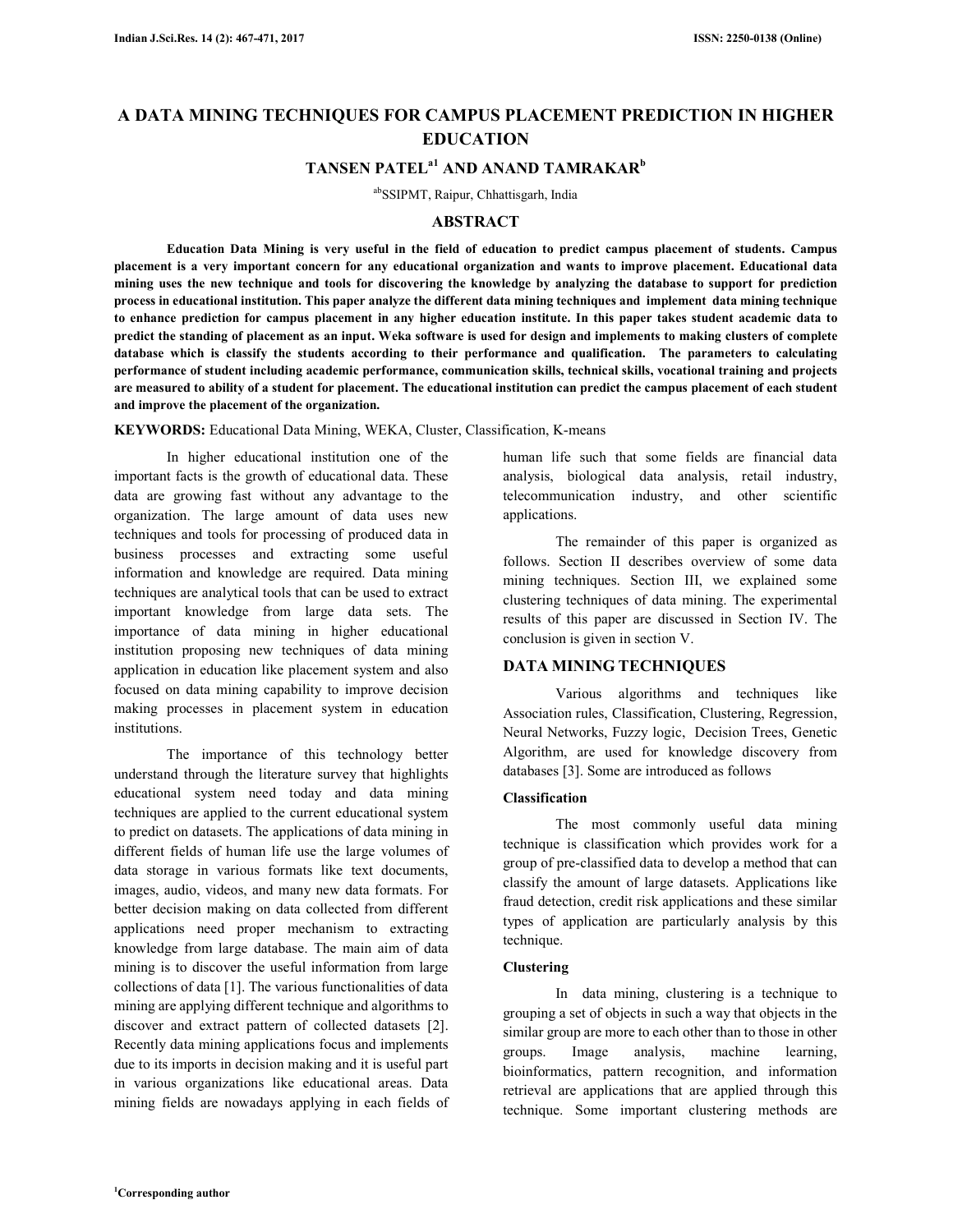# **A DATA MINING TECHNIQUES FOR CAMPUS PLACEMENT PREDICTION IN HIGHER EDUCATION**

# **TANSEN PATELa1 AND ANAND TAMRAKAR<sup>b</sup>**

abSSIPMT, Raipur, Chhattisgarh, India

# **ABSTRACT**

**Education Data Mining is very useful in the field of education to predict campus placement of students. Campus placement is a very important concern for any educational organization and wants to improve placement. Educational data mining uses the new technique and tools for discovering the knowledge by analyzing the database to support for prediction process in educational institution. This paper analyze the different data mining techniques and implement data mining technique to enhance prediction for campus placement in any higher education institute. In this paper takes student academic data to predict the standing of placement as an input. Weka software is used for design and implements to making clusters of complete database which is classify the students according to their performance and qualification. The parameters to calculating performance of student including academic performance, communication skills, technical skills, vocational training and projects are measured to ability of a student for placement. The educational institution can predict the campus placement of each student and improve the placement of the organization.** 

**KEYWORDS:** Educational Data Mining, WEKA, Cluster, Classification, K-means

In higher educational institution one of the important facts is the growth of educational data. These data are growing fast without any advantage to the organization. The large amount of data uses new techniques and tools for processing of produced data in business processes and extracting some useful information and knowledge are required. Data mining techniques are analytical tools that can be used to extract important knowledge from large data sets. The importance of data mining in higher educational institution proposing new techniques of data mining application in education like placement system and also focused on data mining capability to improve decision making processes in placement system in education institutions.

The importance of this technology better understand through the literature survey that highlights educational system need today and data mining techniques are applied to the current educational system to predict on datasets. The applications of data mining in different fields of human life use the large volumes of data storage in various formats like text documents, images, audio, videos, and many new data formats. For better decision making on data collected from different applications need proper mechanism to extracting knowledge from large database. The main aim of data mining is to discover the useful information from large collections of data [1]. The various functionalities of data mining are applying different technique and algorithms to discover and extract pattern of collected datasets [2]. Recently data mining applications focus and implements due to its imports in decision making and it is useful part in various organizations like educational areas. Data mining fields are nowadays applying in each fields of

human life such that some fields are financial data analysis, biological data analysis, retail industry, telecommunication industry, and other scientific applications.

The remainder of this paper is organized as follows. Section II describes overview of some data mining techniques. Section III, we explained some clustering techniques of data mining. The experimental results of this paper are discussed in Section IV. The conclusion is given in section V.

# **DATA MINING TECHNIQUES**

Various algorithms and techniques like Association rules, Classification, Clustering, Regression, Neural Networks, Fuzzy logic, Decision Trees, Genetic Algorithm, are used for knowledge discovery from databases [3]. Some are introduced as follows

# **Classification**

The most commonly useful data mining technique is classification which provides work for a group of pre-classified data to develop a method that can classify the amount of large datasets. Applications like fraud detection, credit risk applications and these similar types of application are particularly analysis by this technique.

# **Clustering**

In data mining, clustering is a technique to grouping a set of objects in such a way that objects in the similar group are more to each other than to those in other groups. Image analysis, machine learning, bioinformatics, pattern recognition, and information retrieval are applications that are applied through this technique. Some important clustering methods are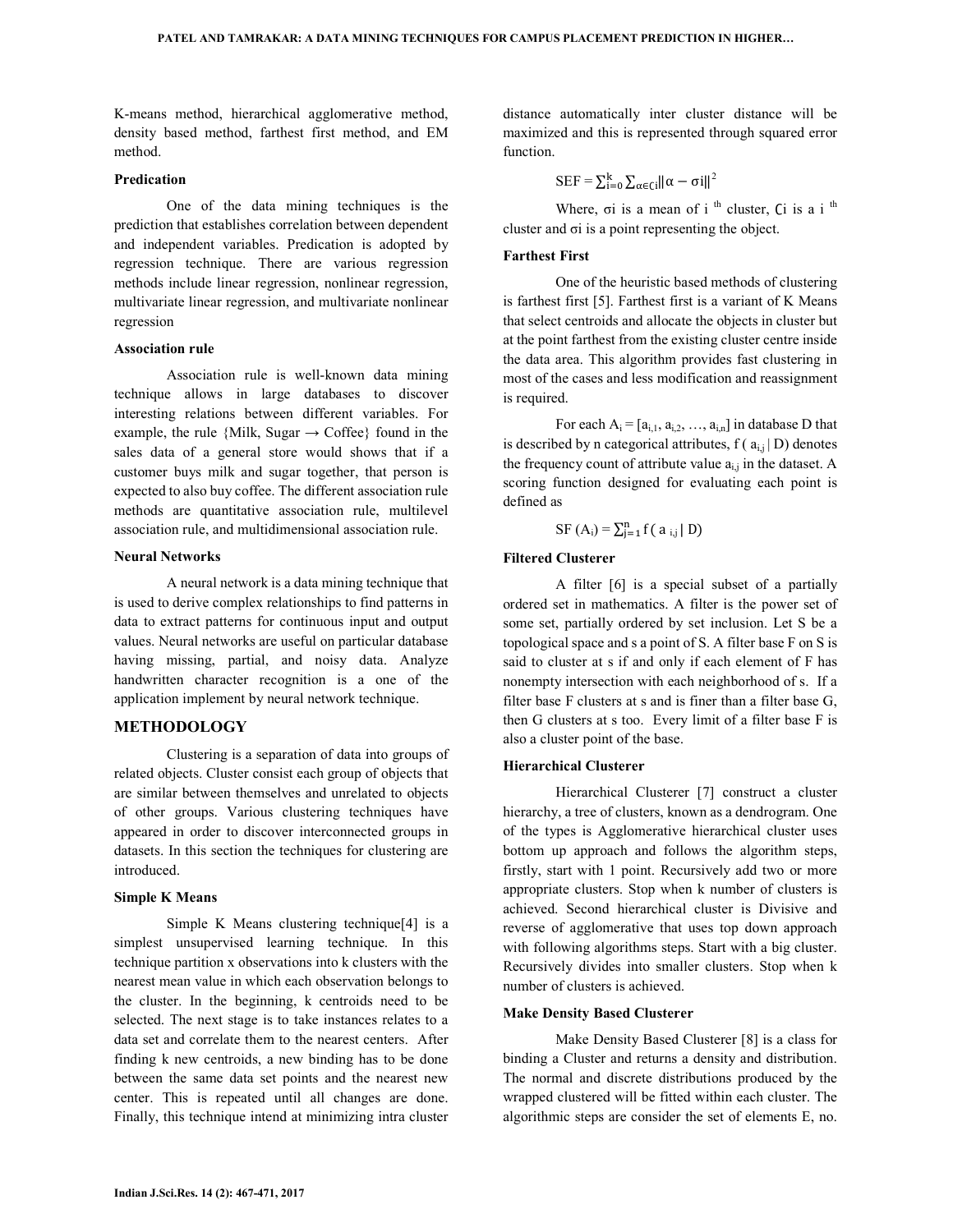K-means method, hierarchical agglomerative method, density based method, farthest first method, and EM method.

### **Predication**

One of the data mining techniques is the prediction that establishes correlation between dependent and independent variables. Predication is adopted by regression technique. There are various regression methods include linear regression, nonlinear regression, multivariate linear regression, and multivariate nonlinear regression

### **Association rule**

Association rule is well-known data mining technique allows in large databases to discover interesting relations between different variables. For example, the rule {Milk, Sugar  $\rightarrow$  Coffee} found in the sales data of a general store would shows that if a customer buys milk and sugar together, that person is expected to also buy coffee. The different association rule methods are quantitative association rule, multilevel association rule, and multidimensional association rule.

### **Neural Networks**

A neural network is a data mining technique that is used to derive complex relationships to find patterns in data to extract patterns for continuous input and output values. Neural networks are useful on particular database having missing, partial, and noisy data. Analyze handwritten character recognition is a one of the application implement by neural network technique.

### **METHODOLOGY**

Clustering is a separation of data into groups of related objects. Cluster consist each group of objects that are similar between themselves and unrelated to objects of other groups. Various clustering techniques have appeared in order to discover interconnected groups in datasets. In this section the techniques for clustering are introduced.

#### **Simple K Means**

Simple K Means clustering technique[4] is a simplest unsupervised learning technique. In this technique partition x observations into k clusters with the nearest mean value in which each observation belongs to the cluster. In the beginning, k centroids need to be selected. The next stage is to take instances relates to a data set and correlate them to the nearest centers. After finding k new centroids, a new binding has to be done between the same data set points and the nearest new center. This is repeated until all changes are done. Finally, this technique intend at minimizing intra cluster distance automatically inter cluster distance will be maximized and this is represented through squared error function.

 $\text{SEF} = \sum_{i=0}^{k} \sum_{\alpha \in \text{Ci}} ||\alpha - \sigma i||^2$ 

Where,  $\sigma i$  is a mean of i<sup>th</sup> cluster, Ci is a i<sup>th</sup> cluster and σi is a point representing the object.

# **Farthest First**

One of the heuristic based methods of clustering is farthest first [5]. Farthest first is a variant of K Means that select centroids and allocate the objects in cluster but at the point farthest from the existing cluster centre inside the data area. This algorithm provides fast clustering in most of the cases and less modification and reassignment is required.

For each  $A_i = [a_{i,1}, a_{i,2}, ..., a_{i,n}]$  in database D that is described by n categorical attributes,  $f(a_{i,j} | D)$  denotes the frequency count of attribute value  $a_{i,j}$  in the dataset. A scoring function designed for evaluating each point is defined as

SF  $(A_i) = \sum_{j=1}^{n} f(a_{i,j} | D)$ 

### **Filtered Clusterer**

A filter [6] is a special subset of a partially ordered set in mathematics. A filter is the power set of some set, partially ordered by set inclusion. Let S be a topological space and s a point of S. A filter base F on S is said to cluster at s if and only if each element of F has nonempty intersection with each neighborhood of s. If a filter base F clusters at s and is finer than a filter base G, then G clusters at s too. Every limit of a filter base F is also a cluster point of the base.

### **Hierarchical Clusterer**

Hierarchical Clusterer [7] construct a cluster hierarchy, a tree of clusters, known as a dendrogram. One of the types is Agglomerative hierarchical cluster uses bottom up approach and follows the algorithm steps, firstly, start with 1 point. Recursively add two or more appropriate clusters. Stop when k number of clusters is achieved. Second hierarchical cluster is Divisive and reverse of agglomerative that uses top down approach with following algorithms steps. Start with a big cluster. Recursively divides into smaller clusters. Stop when k number of clusters is achieved.

#### **Make Density Based Clusterer**

Make Density Based Clusterer [8] is a class for binding a Cluster and returns a density and distribution. The normal and discrete distributions produced by the wrapped clustered will be fitted within each cluster. The algorithmic steps are consider the set of elements E, no.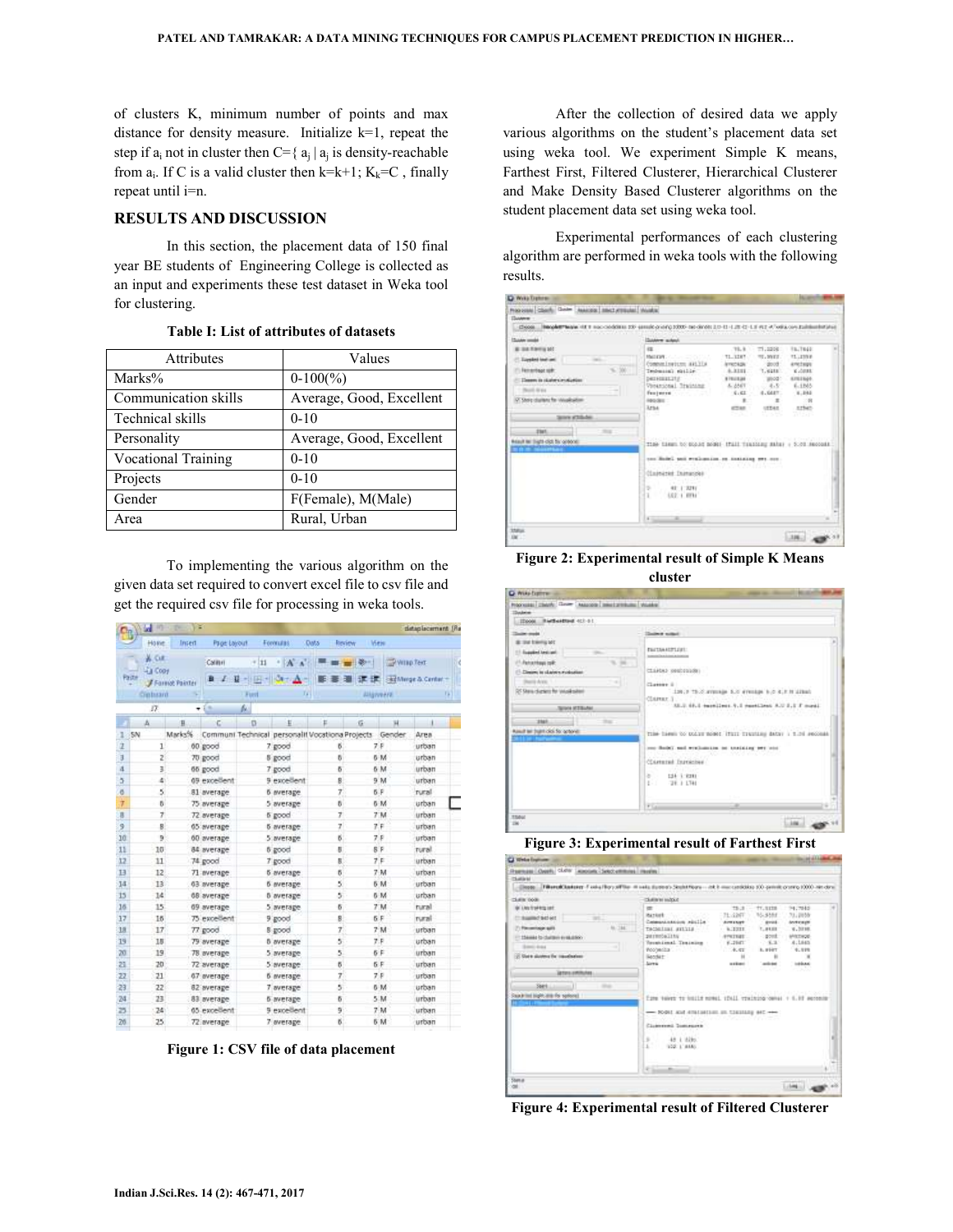of clusters K, minimum number of points and max distance for density measure. Initialize k=1, repeat the step if  $a_i$  not in cluster then C={ $a_j | a_j$  is density-reachable from  $a_i$ . If C is a valid cluster then k=k+1;  $K_k=C$ , finally repeat until i=n.

# **RESULTS AND DISCUSSION**

In this section, the placement data of 150 final year BE students of Engineering College is collected as an input and experiments these test dataset in Weka tool for clustering.

| Attributes                 | Values                   |
|----------------------------|--------------------------|
| Marks%                     | $0-100(\%)$              |
| Communication skills       | Average, Good, Excellent |
| Technical skills           | $0 - 10$                 |
| Personality                | Average, Good, Excellent |
| <b>Vocational Training</b> | $0-10$                   |
| Projects                   | $0-10$                   |
| Gender                     | F(Female), M(Male)       |
| Area                       | Rural, Urban             |

#### **Table I: List of attributes of datasets**

To implementing the various algorithm on the given data set required to convert excel file to csv file and get the required csv file for processing in weka tools.

|    | m<br><b>Sect</b>          | $\mathbb{R}$<br>TH. |              |                                  |                                |                                                        |                   |                         | dataplacement (Re   |
|----|---------------------------|---------------------|--------------|----------------------------------|--------------------------------|--------------------------------------------------------|-------------------|-------------------------|---------------------|
|    | Holle                     | Insert              | Page Layout  |                                  | Formulas.                      | <b>Data</b><br><b>Review</b>                           | Vieto             |                         |                     |
|    | <b>ALCUR</b><br>Lis Copy  |                     | Californi    | $+11$                            | <b>NATION</b>                  |                                                        | ■■ ■              | Willie Text             |                     |
|    | Paste                     | Format Painter      |              | $B$ $I$ $B$ = $B$ = $O$ $\Delta$ |                                |                                                        | 34, 360           |                         | Sad Minge & Center. |
|    | Cintaant                  |                     |              | Furt                             |                                |                                                        | <b>Allgrenera</b> |                         |                     |
|    | 87                        |                     | í n          | w                                |                                |                                                        |                   |                         |                     |
|    | А                         | Ħ.                  | $\sim$       | o                                | $+1$                           | p.                                                     | 综                 | $\overline{\mathbf{H}}$ | $-1$                |
| ı  | SN                        | Marks%              |              |                                  |                                | Communi Technical personalit Vocationa Projects Gender |                   |                         | Area                |
| Œ  | $\mathbf{1}^{\mathbf{1}}$ |                     | 60 good      |                                  | 7 good                         | ø                                                      | 7 P               |                         | urban               |
| F. | z                         |                     | 70 good      |                                  | 8 good                         | 8                                                      |                   | 6 M                     | urban               |
| A  | 3                         |                     | 65 good      |                                  | 7 good                         | 6                                                      |                   | 6 M                     | urban               |
| ä  | ă.                        |                     | 09 excellent |                                  | 9 excellent                    | 8                                                      |                   | 9 M                     | urban.              |
| ō  | 5.                        |                     | 81 average   |                                  | <b>6</b> everage               | Ÿ.                                                     | 6.P               |                         | rural               |
| Ϋ  | ö.                        |                     | 75 average   |                                  | 5 average                      | 6                                                      |                   | 6 M                     | urban               |
| в  | T.                        |                     | 72 average   |                                  | 6 good                         | 7                                                      |                   | $7^{\circ}M$            | urban               |
| 9  | B.                        |                     | 65 average   |                                  | 5 average                      | 7                                                      | 7.5               |                         | urban               |
| 10 | 9                         |                     | 60 average   |                                  | 5 average                      | б                                                      | 7 P               |                         | urban               |
| 11 | 10                        |                     | 84 average   |                                  | 6 good                         | U.                                                     | 8 F               |                         | rural               |
| 12 | 11                        |                     | 74 good      |                                  | 7 good                         | $\mathbf{g}$                                           | 7 F               |                         | urban               |
| 13 | 12                        |                     | 71 average   |                                  | <b>6</b> average               | б                                                      |                   | 7M                      | urban               |
| 14 | 13                        |                     | 63 average   |                                  | 6 everage                      | 5                                                      |                   | 6 M                     | urban               |
| 15 | 14                        |                     | 68 average   |                                  | <b><i><u>B</u></i></b> average | 5                                                      |                   | 6 M                     | urban               |
| 16 | 15                        |                     | 09 average   |                                  | 5 average                      | 6                                                      |                   | 7 M                     | rural               |
| 17 | 15                        |                     | 75 excellent |                                  | 9 good                         | 8                                                      | 6 F               |                         | rural               |
| 18 | 17                        |                     | 77 good      |                                  | 8 good                         | 7                                                      |                   | 7 M                     | urban               |
| 19 | 18                        |                     | 79 average   |                                  | <b><i><u>B</u></i></b> average | 5                                                      | 7.5               |                         | urban               |
| 20 | 19                        |                     | 78 average   |                                  | 5 average                      | 5                                                      | 6 F               |                         | urban               |
| 苕  | 20                        |                     | 72 average   |                                  | 5 average                      | 5                                                      | 6 F               |                         | urban               |
| 22 | 21                        |                     | 67 average   |                                  | 6 everage                      | 7                                                      | 7 F               |                         | urban               |
| 23 | 22                        |                     | 82 average   |                                  | 7 average                      | 5                                                      |                   | 6 M                     | urban               |
| 24 | 23                        |                     | 83 average   |                                  | <b>6</b> average               | 6                                                      |                   | 5.M                     | urban               |
| 25 | :24                       |                     | 65 excellent |                                  | 9 excellent                    | 9                                                      |                   | 7 <sub>M</sub>          | urban               |
| 26 | 25                        |                     | 72 average   |                                  | 7 average                      | б                                                      |                   | 6 M                     | urban               |

**Figure 1: CSV file of data placement** 

After the collection of desired data we apply various algorithms on the student's placement data set using weka tool. We experiment Simple K means, Farthest First, Filtered Clusterer, Hierarchical Clusterer and Make Density Based Clusterer algorithms on the student placement data set using weka tool.

Experimental performances of each clustering algorithm are performed in weka tools with the following results.

| Reported Clark: Grider Associate (Intechnitiated Works)<br>Полени                                                                                                                       |                                                                                                                |                          |                 |                          |  |
|-----------------------------------------------------------------------------------------------------------------------------------------------------------------------------------------|----------------------------------------------------------------------------------------------------------------|--------------------------|-----------------|--------------------------|--|
| Choose: Neophermanne H.E.B. modesholderes 200 (entrebrigatorio 2000) des dendis 2.0-13 (4.2) (2) (4.2) (4.7) (4.2) (4.7) (editation administration in<br>the common the common the com- |                                                                                                                |                          |                 |                          |  |
| <b>Subdive consider</b>                                                                                                                                                                 | <b>Guider which</b>                                                                                            |                          |                 |                          |  |
| <b>B 34 FM 4 50</b>                                                                                                                                                                     | 88.                                                                                                            | 78.8                     | 71.2208.1       | TR.TR4E                  |  |
| <b>European Instrume</b>                                                                                                                                                                | MAGNETIC COMPANY CONTROL                                                                                       | 71 7287                  | TELEVILLE       | TL.LTNF                  |  |
| Femantisco solo.<br>380                                                                                                                                                                 | Companies/companies<br>Technical skiller                                                                       | America part<br>4.3331   | dood:<br>7.6488 | American<br><b>KASSE</b> |  |
| Theoret is cluster constanting                                                                                                                                                          | December 212                                                                                                   | a resistan               |                 | mod: smiles.             |  |
| 1. March Area                                                                                                                                                                           | Virginional Training                                                                                           | A. 2561                  | $-4.5$          | 6.1865                   |  |
| Of Shore clusters for staughorizer                                                                                                                                                      | Family areas in the control of<br>Apodes:                                                                      | 6.61<br>$\blacksquare$   | 4.MAT.<br>$\pm$ | $-4.144$<br>$-98$        |  |
|                                                                                                                                                                                         | Arna.                                                                                                          | <b>CTAR</b>              | UEDAIL.         | . sthat                  |  |
| Seles #16.66                                                                                                                                                                            | $\sim$                                                                                                         | -52                      | SI 5-85         | mar                      |  |
|                                                                                                                                                                                         |                                                                                                                |                          |                 |                          |  |
|                                                                                                                                                                                         |                                                                                                                |                          |                 |                          |  |
| 2341<br>ms:                                                                                                                                                                             | i base de estava trava de estava de provincia de contrar a contrar a contrar a contrar a contrar a contrar a c |                          |                 |                          |  |
| <b>The Committee of State Committee</b>                                                                                                                                                 | THE GREEN COUNT ROBE THAT THEREBY HERE + 5.20 RECORD                                                           |                          |                 |                          |  |
| <b>TERRITE</b>                                                                                                                                                                          |                                                                                                                |                          |                 |                          |  |
|                                                                                                                                                                                         | ten Salel unt erslamsen en installing een non-                                                                 | Joseph 1996 I de Antonio |                 |                          |  |
|                                                                                                                                                                                         | Clairgart Internet                                                                                             |                          |                 |                          |  |
|                                                                                                                                                                                         |                                                                                                                |                          |                 |                          |  |
|                                                                                                                                                                                         | ÷<br>41 1 2211<br>x.<br>LEE: 1 HYM                                                                             |                          |                 |                          |  |
|                                                                                                                                                                                         |                                                                                                                |                          |                 |                          |  |
| Result by Sight click for grobbnel.                                                                                                                                                     | 4<br>$\frac{1}{2}$                                                                                             |                          |                 |                          |  |

**Figure 2: Experimental result of Simple K Means** 



**Figure 3: Experimental result of Farthest First** 

| Website Producers Lab                                                                                                                                                                                                              |                                                                                                                                                      |                                                                                                                |                                                                                           |                                                                                                                                      | of all label. And |
|------------------------------------------------------------------------------------------------------------------------------------------------------------------------------------------------------------------------------------|------------------------------------------------------------------------------------------------------------------------------------------------------|----------------------------------------------------------------------------------------------------------------|-------------------------------------------------------------------------------------------|--------------------------------------------------------------------------------------------------------------------------------------|-------------------|
| Pearson (Over), CAFF (Apply), Sectionships (Hughes<br>Chattanic I<br>TilteralClasters Federikovsfölle ill sels durinn) Skalsfölde - int himmerskälda 10 geneticierne (200 introduc<br>diseas!<br><b>CONTRACTOR</b><br>Distinction. | <b>CLAIRING MADE OF</b>                                                                                                                              |                                                                                                                |                                                                                           |                                                                                                                                      |                   |
| W. LNs frokkits lat.<br>This base of the TT<br>$-1$<br>7: Farmings salt<br>44.786<br>ORDER WAS IMPOUNDED FOR A REAL FIELD<br>Smith Gold<br>User down for resultation<br><b>Januara</b> Antiquias<br>Seet Lit                       | œ<br>Razkot<br>Commentations resile<br>TACMISSI SYLVIS<br>parmotaling<br>Toyotimal Teaining<br>Woorwells Company (1999)<br>liandat:<br><b>Siring</b> | 19:31<br>71-1207<br>downstart<br>$-0.13331$<br>APRILLED.<br>$-1.2641$<br>$-4.41$<br>×<br><b>ASSAULT</b><br>--- | 11,3228<br>15, 6514<br>grad.<br>$-2000$<br>1001040<br>A. MERT<br>$\mathbf{r}$<br>and date | 74,7848<br>31,2058<br>Anterior<br>7. PLUI - V. 2210.<br><b>MILTINGS</b><br>AllAsh<br>19,899<br>$\blacksquare$<br>Intelligence<br>-33 |                   |
| Reachrited blight-allia the systemail 111                                                                                                                                                                                          | Time Velvet to build monel, (DAIL realting canal + 6.10 seconds<br>- Robit and distinction on training as !-<br>Clubrated Insurance                  |                                                                                                                |                                                                                           | Latin Managet (1999) (1999) (1999)                                                                                                   |                   |
|                                                                                                                                                                                                                                    | s.<br>48 1 8280.<br>1. 102.1.8MG                                                                                                                     |                                                                                                                |                                                                                           |                                                                                                                                      |                   |
| <b>ham a</b>                                                                                                                                                                                                                       | 4 5 4<br>$-$                                                                                                                                         |                                                                                                                |                                                                                           |                                                                                                                                      |                   |

**Figure 4: Experimental result of Filtered Clusterer**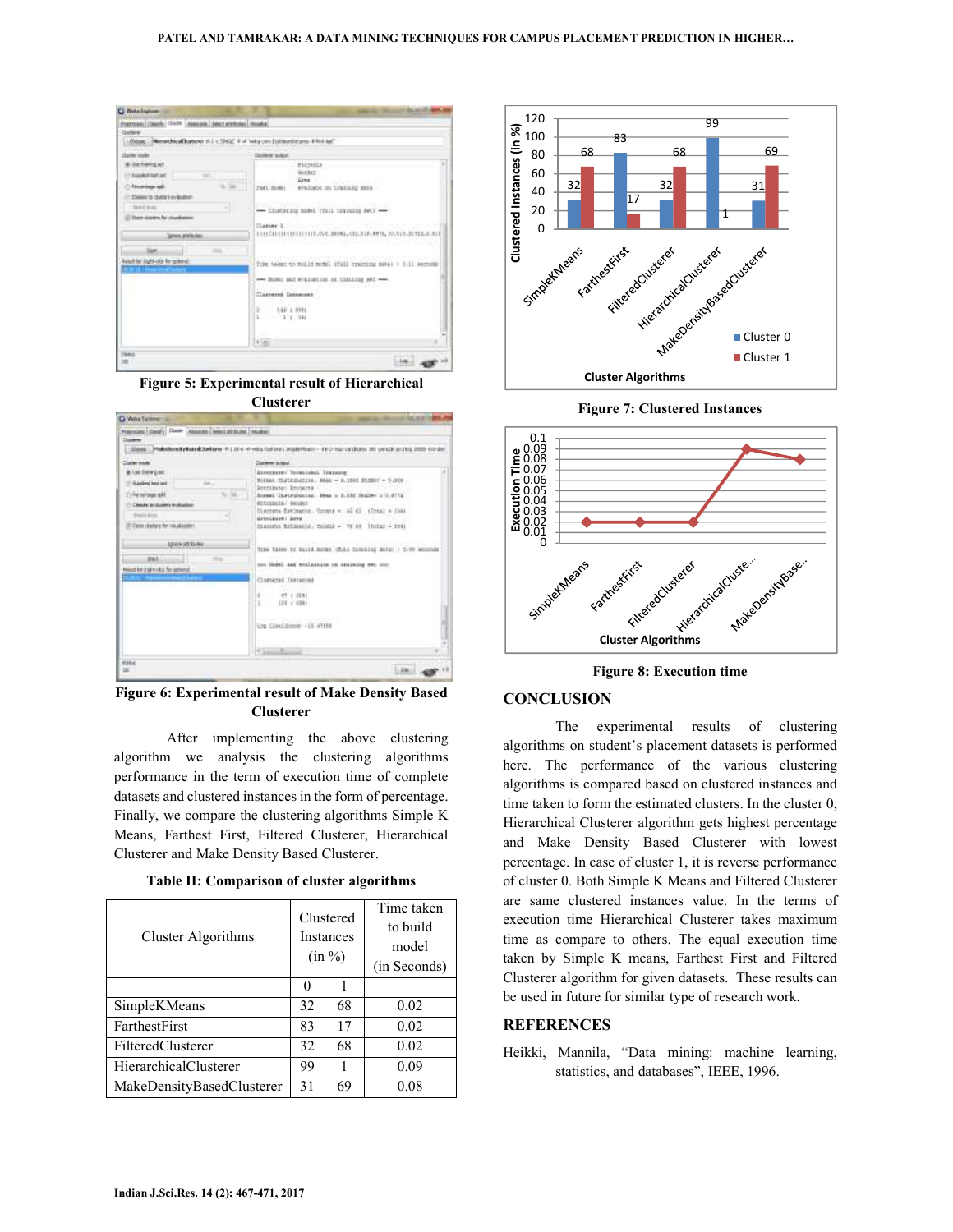





**Figure 6: Experimental result of Make Density Based Clusterer** 

After implementing the above clustering algorithm we analysis the clustering algorithms performance in the term of execution time of complete datasets and clustered instances in the form of percentage. Finally, we compare the clustering algorithms Simple K Means, Farthest First, Filtered Clusterer, Hierarchical Clusterer and Make Density Based Clusterer.

**Table II: Comparison of cluster algorithms** 

| Cluster Algorithms        |    | Clustered<br><b>Instances</b><br>(in %) | Time taken<br>to build<br>model<br>(in Seconds) |
|---------------------------|----|-----------------------------------------|-------------------------------------------------|
|                           | 0  |                                         |                                                 |
| SimpleKMeans              | 32 | 68                                      | 0.02                                            |
| FarthestFirst             | 83 | 17                                      | 0.02                                            |
| FilteredClusterer         | 32 | 68                                      | 0.02                                            |
| HierarchicalClusterer     | 99 |                                         | 0.09                                            |
| MakeDensityBasedClusterer | 31 | 69                                      | 0.08                                            |



**Figure 7: Clustered Instances** 



**Figure 8: Execution time** 

### **CONCLUSION**

The experimental results of clustering algorithms on student's placement datasets is performed here. The performance of the various clustering algorithms is compared based on clustered instances and time taken to form the estimated clusters. In the cluster 0, Hierarchical Clusterer algorithm gets highest percentage and Make Density Based Clusterer with lowest percentage. In case of cluster 1, it is reverse performance of cluster 0. Both Simple K Means and Filtered Clusterer are same clustered instances value. In the terms of execution time Hierarchical Clusterer takes maximum time as compare to others. The equal execution time taken by Simple K means, Farthest First and Filtered Clusterer algorithm for given datasets. These results can be used in future for similar type of research work.

# **REFERENCES**

Heikki, Mannila, "Data mining: machine learning, statistics, and databases", IEEE, 1996.